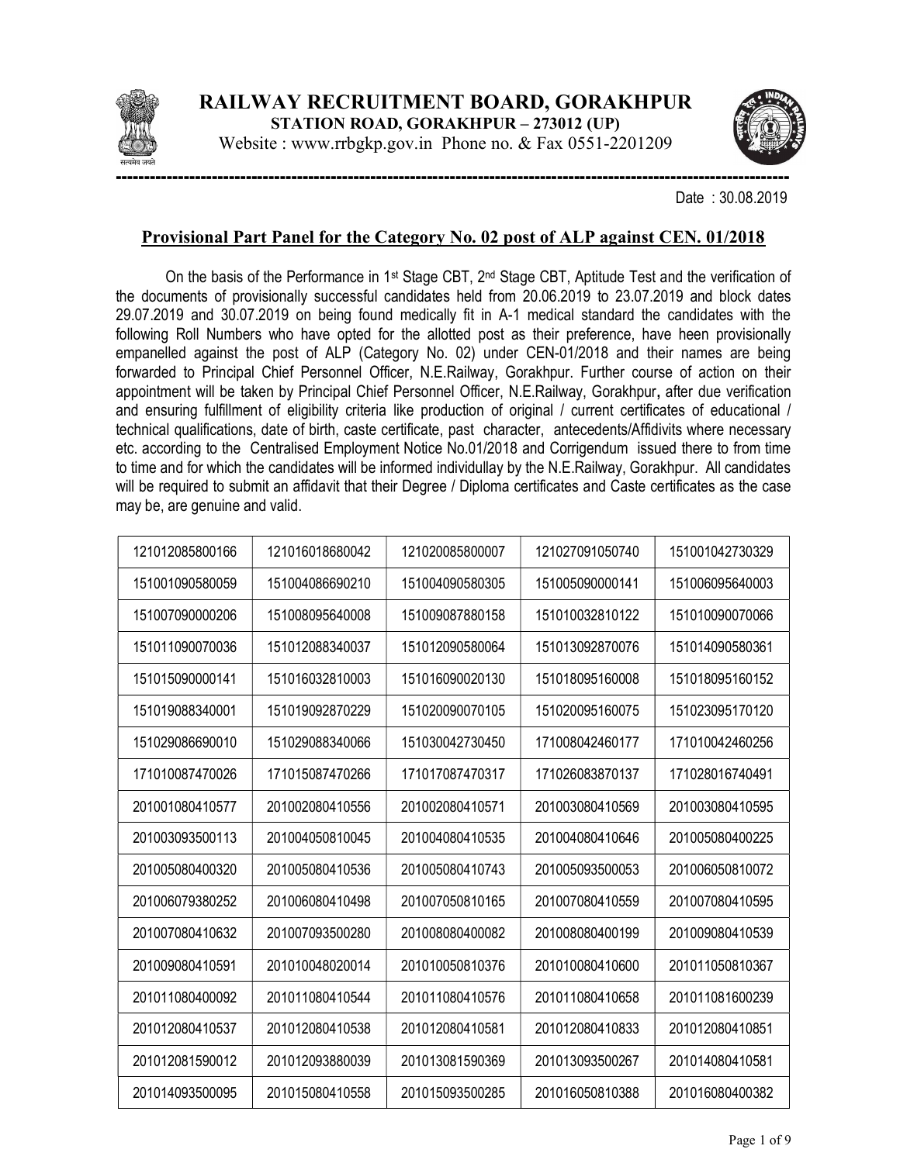

Website : www.rrbgkp.gov.in Phone no. & Fax 0551-2201209



Date : 30.08.2019

## Provisional Part Panel for the Category No. 02 post of ALP against CEN. 01/2018

On the basis of the Performance in 1<sup>st</sup> Stage CBT, 2<sup>nd</sup> Stage CBT, Aptitude Test and the verification of the documents of provisionally successful candidates held from 20.06.2019 to 23.07.2019 and block dates 29.07.2019 and 30.07.2019 on being found medically fit in A-1 medical standard the candidates with the following Roll Numbers who have opted for the allotted post as their preference, have heen provisionally empanelled against the post of ALP (Category No. 02) under CEN-01/2018 and their names are being forwarded to Principal Chief Personnel Officer, N.E.Railway, Gorakhpur. Further course of action on their appointment will be taken by Principal Chief Personnel Officer, N.E.Railway, Gorakhpur, after due verification and ensuring fulfillment of eligibility criteria like production of original / current certificates of educational / technical qualifications, date of birth, caste certificate, past character, antecedents/Affidivits where necessary etc. according to the Centralised Employment Notice No.01/2018 and Corrigendum issued there to from time to time and for which the candidates will be informed individullay by the N.E.Railway, Gorakhpur. All candidates will be required to submit an affidavit that their Degree / Diploma certificates and Caste certificates as the case may be, are genuine and valid.

| 121012085800166 | 121016018680042 | 121020085800007 | 121027091050740 | 151001042730329 |
|-----------------|-----------------|-----------------|-----------------|-----------------|
| 151001090580059 | 151004086690210 | 151004090580305 | 151005090000141 | 151006095640003 |
| 151007090000206 | 151008095640008 | 151009087880158 | 151010032810122 | 151010090070066 |
| 151011090070036 | 151012088340037 | 151012090580064 | 151013092870076 | 151014090580361 |
| 151015090000141 | 151016032810003 | 151016090020130 | 151018095160008 | 151018095160152 |
| 151019088340001 | 151019092870229 | 151020090070105 | 151020095160075 | 151023095170120 |
| 151029086690010 | 151029088340066 | 151030042730450 | 171008042460177 | 171010042460256 |
| 171010087470026 | 171015087470266 | 171017087470317 | 171026083870137 | 171028016740491 |
| 201001080410577 | 201002080410556 | 201002080410571 | 201003080410569 | 201003080410595 |
| 201003093500113 | 201004050810045 | 201004080410535 | 201004080410646 | 201005080400225 |
| 201005080400320 | 201005080410536 | 201005080410743 | 201005093500053 | 201006050810072 |
| 201006079380252 | 201006080410498 | 201007050810165 | 201007080410559 | 201007080410595 |
| 201007080410632 | 201007093500280 | 201008080400082 | 201008080400199 | 201009080410539 |
| 201009080410591 | 201010048020014 | 201010050810376 | 201010080410600 | 201011050810367 |
| 201011080400092 | 201011080410544 | 201011080410576 | 201011080410658 | 201011081600239 |
| 201012080410537 | 201012080410538 | 201012080410581 | 201012080410833 | 201012080410851 |
| 201012081590012 | 201012093880039 | 201013081590369 | 201013093500267 | 201014080410581 |
| 201014093500095 | 201015080410558 | 201015093500285 | 201016050810388 | 201016080400382 |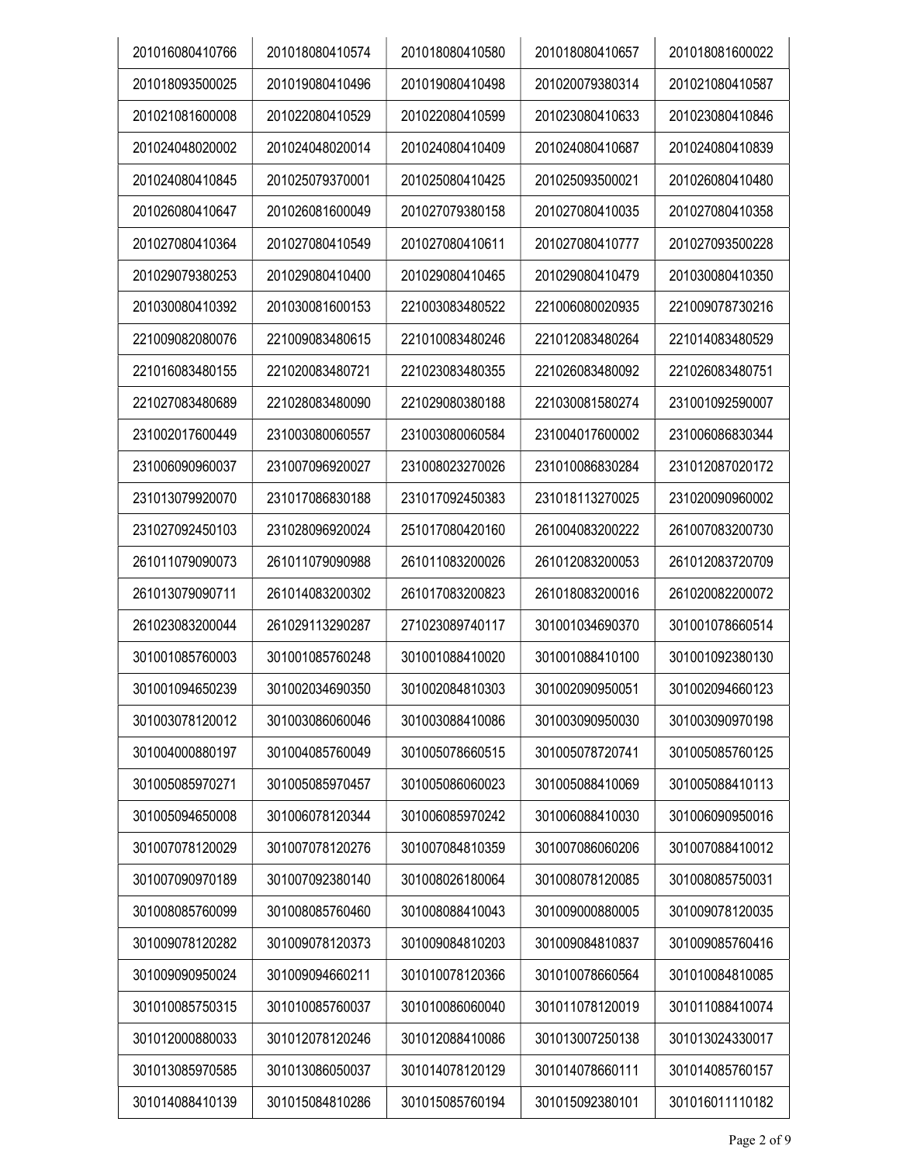| 201016080410766 | 201018080410574 | 201018080410580 | 201018080410657 | 201018081600022 |
|-----------------|-----------------|-----------------|-----------------|-----------------|
| 201018093500025 | 201019080410496 | 201019080410498 | 201020079380314 | 201021080410587 |
| 201021081600008 | 201022080410529 | 201022080410599 | 201023080410633 | 201023080410846 |
| 201024048020002 | 201024048020014 | 201024080410409 | 201024080410687 | 201024080410839 |
| 201024080410845 | 201025079370001 | 201025080410425 | 201025093500021 | 201026080410480 |
| 201026080410647 | 201026081600049 | 201027079380158 | 201027080410035 | 201027080410358 |
| 201027080410364 | 201027080410549 | 201027080410611 | 201027080410777 | 201027093500228 |
| 201029079380253 | 201029080410400 | 201029080410465 | 201029080410479 | 201030080410350 |
| 201030080410392 | 201030081600153 | 221003083480522 | 221006080020935 | 221009078730216 |
| 221009082080076 | 221009083480615 | 221010083480246 | 221012083480264 | 221014083480529 |
| 221016083480155 | 221020083480721 | 221023083480355 | 221026083480092 | 221026083480751 |
| 221027083480689 | 221028083480090 | 221029080380188 | 221030081580274 | 231001092590007 |
| 231002017600449 | 231003080060557 | 231003080060584 | 231004017600002 | 231006086830344 |
| 231006090960037 | 231007096920027 | 231008023270026 | 231010086830284 | 231012087020172 |
| 231013079920070 | 231017086830188 | 231017092450383 | 231018113270025 | 231020090960002 |
| 231027092450103 | 231028096920024 | 251017080420160 | 261004083200222 | 261007083200730 |
| 261011079090073 | 261011079090988 | 261011083200026 | 261012083200053 | 261012083720709 |
| 261013079090711 | 261014083200302 | 261017083200823 | 261018083200016 | 261020082200072 |
| 261023083200044 | 261029113290287 | 271023089740117 | 301001034690370 | 301001078660514 |
| 301001085760003 | 301001085760248 | 301001088410020 | 301001088410100 | 301001092380130 |
| 301001094650239 | 301002034690350 | 301002084810303 | 301002090950051 | 301002094660123 |
| 301003078120012 | 301003086060046 | 301003088410086 | 301003090950030 | 301003090970198 |
| 301004000880197 | 301004085760049 | 301005078660515 | 301005078720741 | 301005085760125 |
| 301005085970271 | 301005085970457 | 301005086060023 | 301005088410069 | 301005088410113 |
| 301005094650008 | 301006078120344 | 301006085970242 | 301006088410030 | 301006090950016 |
| 301007078120029 | 301007078120276 | 301007084810359 | 301007086060206 | 301007088410012 |
| 301007090970189 | 301007092380140 | 301008026180064 | 301008078120085 | 301008085750031 |
| 301008085760099 | 301008085760460 | 301008088410043 | 301009000880005 | 301009078120035 |
| 301009078120282 | 301009078120373 | 301009084810203 | 301009084810837 | 301009085760416 |
| 301009090950024 | 301009094660211 | 301010078120366 | 301010078660564 | 301010084810085 |
| 301010085750315 | 301010085760037 | 301010086060040 | 301011078120019 | 301011088410074 |
| 301012000880033 | 301012078120246 | 301012088410086 | 301013007250138 | 301013024330017 |
| 301013085970585 | 301013086050037 | 301014078120129 | 301014078660111 | 301014085760157 |
| 301014088410139 | 301015084810286 | 301015085760194 | 301015092380101 | 301016011110182 |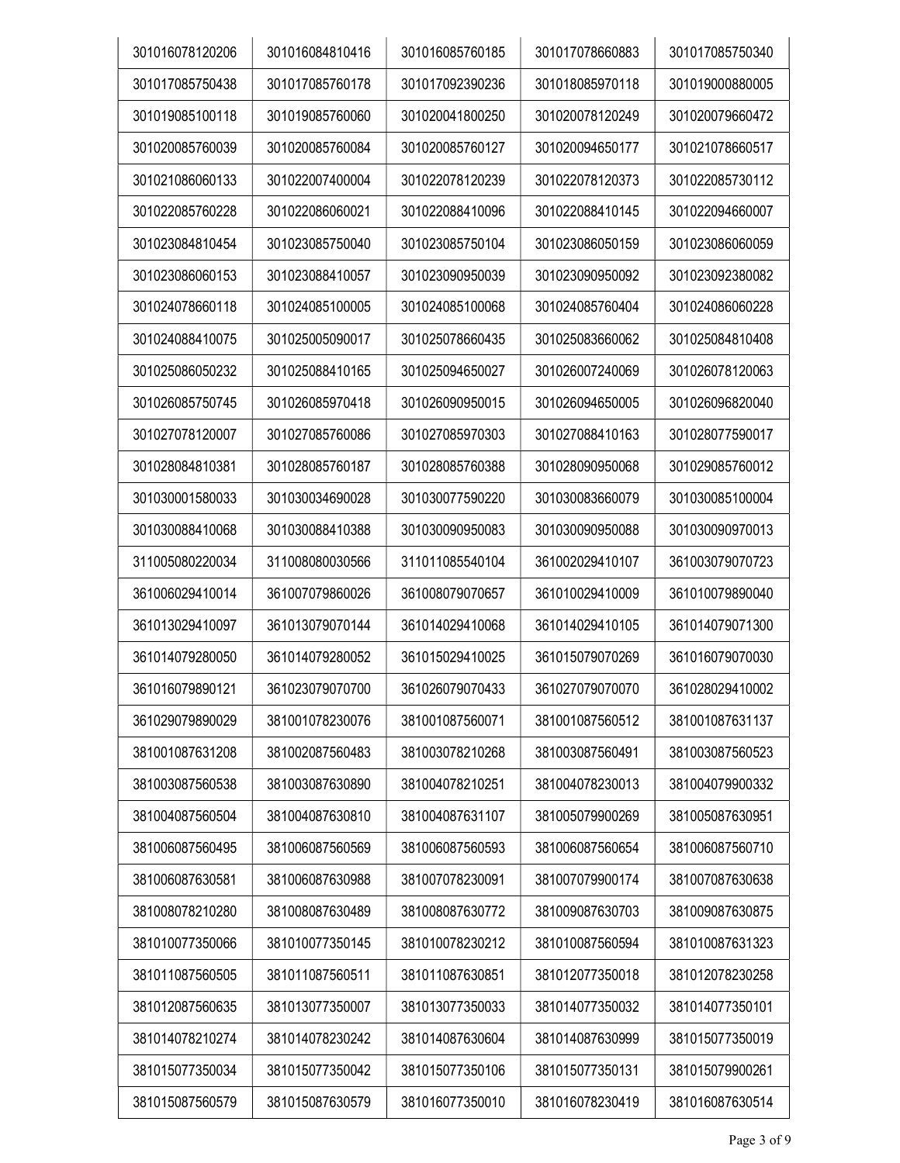| 301016078120206 | 301016084810416 | 301016085760185 | 301017078660883 | 301017085750340 |
|-----------------|-----------------|-----------------|-----------------|-----------------|
| 301017085750438 | 301017085760178 | 301017092390236 | 301018085970118 | 301019000880005 |
| 301019085100118 | 301019085760060 | 301020041800250 | 301020078120249 | 301020079660472 |
| 301020085760039 | 301020085760084 | 301020085760127 | 301020094650177 | 301021078660517 |
| 301021086060133 | 301022007400004 | 301022078120239 | 301022078120373 | 301022085730112 |
| 301022085760228 | 301022086060021 | 301022088410096 | 301022088410145 | 301022094660007 |
| 301023084810454 | 301023085750040 | 301023085750104 | 301023086050159 | 301023086060059 |
| 301023086060153 | 301023088410057 | 301023090950039 | 301023090950092 | 301023092380082 |
| 301024078660118 | 301024085100005 | 301024085100068 | 301024085760404 | 301024086060228 |
| 301024088410075 | 301025005090017 | 301025078660435 | 301025083660062 | 301025084810408 |
| 301025086050232 | 301025088410165 | 301025094650027 | 301026007240069 | 301026078120063 |
| 301026085750745 | 301026085970418 | 301026090950015 | 301026094650005 | 301026096820040 |
| 301027078120007 | 301027085760086 | 301027085970303 | 301027088410163 | 301028077590017 |
| 301028084810381 | 301028085760187 | 301028085760388 | 301028090950068 | 301029085760012 |
| 301030001580033 | 301030034690028 | 301030077590220 | 301030083660079 | 301030085100004 |
| 301030088410068 | 301030088410388 | 301030090950083 | 301030090950088 | 301030090970013 |
| 311005080220034 | 311008080030566 | 311011085540104 | 361002029410107 | 361003079070723 |
| 361006029410014 | 361007079860026 | 361008079070657 | 361010029410009 | 361010079890040 |
| 361013029410097 | 361013079070144 | 361014029410068 | 361014029410105 | 361014079071300 |
| 361014079280050 | 361014079280052 | 361015029410025 | 361015079070269 | 361016079070030 |
| 361016079890121 | 361023079070700 | 361026079070433 | 361027079070070 | 361028029410002 |
| 361029079890029 | 381001078230076 | 381001087560071 | 381001087560512 | 381001087631137 |
| 381001087631208 | 381002087560483 | 381003078210268 | 381003087560491 | 381003087560523 |
| 381003087560538 | 381003087630890 | 381004078210251 | 381004078230013 | 381004079900332 |
| 381004087560504 | 381004087630810 | 381004087631107 | 381005079900269 | 381005087630951 |
| 381006087560495 | 381006087560569 | 381006087560593 | 381006087560654 | 381006087560710 |
| 381006087630581 | 381006087630988 | 381007078230091 | 381007079900174 | 381007087630638 |
| 381008078210280 | 381008087630489 | 381008087630772 | 381009087630703 | 381009087630875 |
| 381010077350066 | 381010077350145 | 381010078230212 | 381010087560594 | 381010087631323 |
| 381011087560505 | 381011087560511 | 381011087630851 | 381012077350018 | 381012078230258 |
| 381012087560635 | 381013077350007 | 381013077350033 | 381014077350032 | 381014077350101 |
| 381014078210274 | 381014078230242 | 381014087630604 | 381014087630999 | 381015077350019 |
| 381015077350034 | 381015077350042 | 381015077350106 | 381015077350131 | 381015079900261 |
| 381015087560579 | 381015087630579 | 381016077350010 | 381016078230419 | 381016087630514 |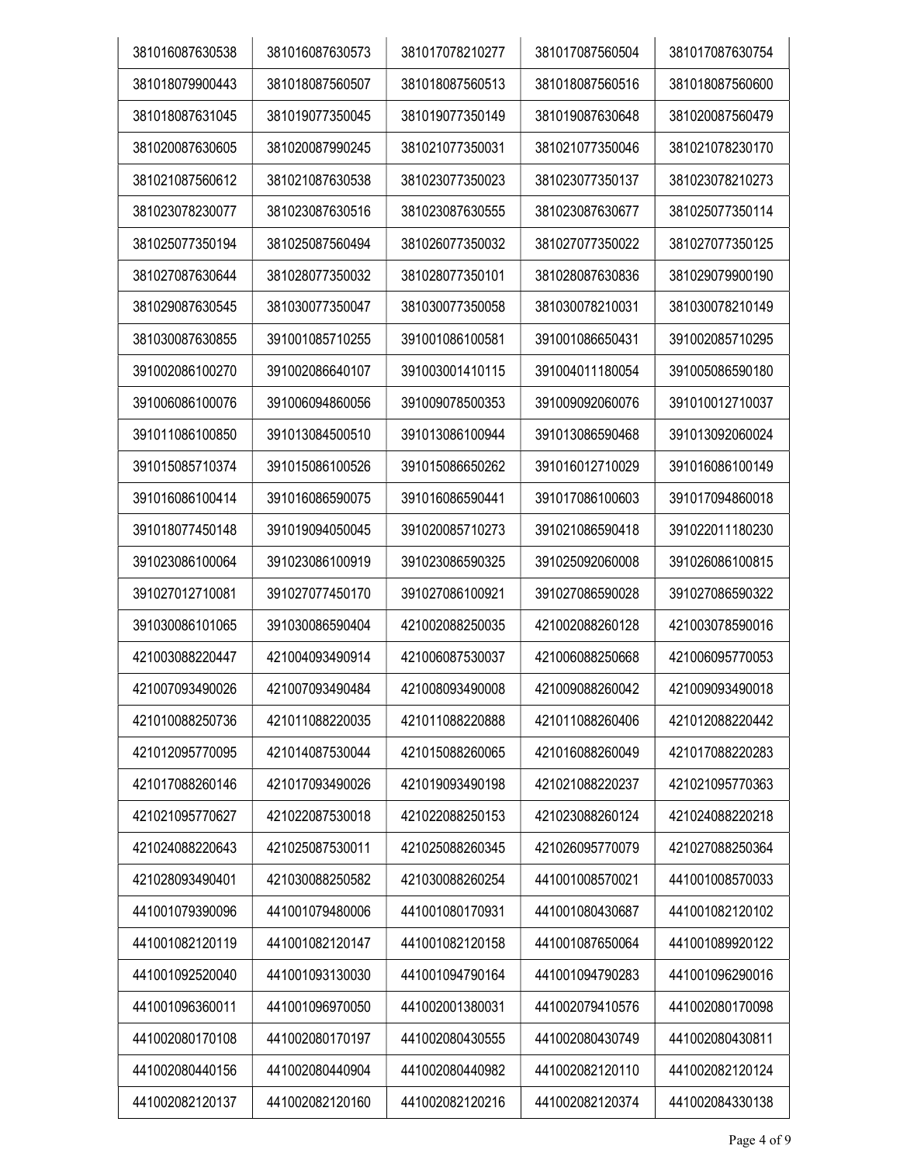| 381016087630538 |                 | 381017078210277 | 381017087560504 | 381017087630754 |
|-----------------|-----------------|-----------------|-----------------|-----------------|
|                 | 381016087630573 |                 |                 |                 |
| 381018079900443 | 381018087560507 | 381018087560513 | 381018087560516 | 381018087560600 |
| 381018087631045 | 381019077350045 | 381019077350149 | 381019087630648 | 381020087560479 |
| 381020087630605 | 381020087990245 | 381021077350031 | 381021077350046 | 381021078230170 |
| 381021087560612 | 381021087630538 | 381023077350023 | 381023077350137 | 381023078210273 |
| 381023078230077 | 381023087630516 | 381023087630555 | 381023087630677 | 381025077350114 |
| 381025077350194 | 381025087560494 | 381026077350032 | 381027077350022 | 381027077350125 |
| 381027087630644 | 381028077350032 | 381028077350101 | 381028087630836 | 381029079900190 |
| 381029087630545 | 381030077350047 | 381030077350058 | 381030078210031 | 381030078210149 |
| 381030087630855 | 391001085710255 | 391001086100581 | 391001086650431 | 391002085710295 |
| 391002086100270 | 391002086640107 | 391003001410115 | 391004011180054 | 391005086590180 |
| 391006086100076 | 391006094860056 | 391009078500353 | 391009092060076 | 391010012710037 |
| 391011086100850 | 391013084500510 | 391013086100944 | 391013086590468 | 391013092060024 |
| 391015085710374 | 391015086100526 | 391015086650262 | 391016012710029 | 391016086100149 |
| 391016086100414 | 391016086590075 | 391016086590441 | 391017086100603 | 391017094860018 |
| 391018077450148 | 391019094050045 | 391020085710273 | 391021086590418 | 391022011180230 |
| 391023086100064 | 391023086100919 | 391023086590325 | 391025092060008 | 391026086100815 |
| 391027012710081 | 391027077450170 | 391027086100921 | 391027086590028 | 391027086590322 |
| 391030086101065 | 391030086590404 | 421002088250035 | 421002088260128 | 421003078590016 |
| 421003088220447 | 421004093490914 | 421006087530037 | 421006088250668 | 421006095770053 |
| 421007093490026 | 421007093490484 | 421008093490008 | 421009088260042 | 421009093490018 |
| 421010088250736 | 421011088220035 | 421011088220888 | 421011088260406 | 421012088220442 |
| 421012095770095 | 421014087530044 | 421015088260065 | 421016088260049 | 421017088220283 |
| 421017088260146 | 421017093490026 | 421019093490198 | 421021088220237 | 421021095770363 |
| 421021095770627 | 421022087530018 | 421022088250153 | 421023088260124 | 421024088220218 |
| 421024088220643 | 421025087530011 | 421025088260345 | 421026095770079 | 421027088250364 |
| 421028093490401 | 421030088250582 | 421030088260254 | 441001008570021 | 441001008570033 |
| 441001079390096 | 441001079480006 | 441001080170931 | 441001080430687 | 441001082120102 |
| 441001082120119 | 441001082120147 | 441001082120158 | 441001087650064 | 441001089920122 |
| 441001092520040 | 441001093130030 | 441001094790164 | 441001094790283 | 441001096290016 |
| 441001096360011 | 441001096970050 | 441002001380031 | 441002079410576 | 441002080170098 |
| 441002080170108 | 441002080170197 | 441002080430555 | 441002080430749 | 441002080430811 |
| 441002080440156 | 441002080440904 | 441002080440982 | 441002082120110 | 441002082120124 |
| 441002082120137 | 441002082120160 | 441002082120216 | 441002082120374 | 441002084330138 |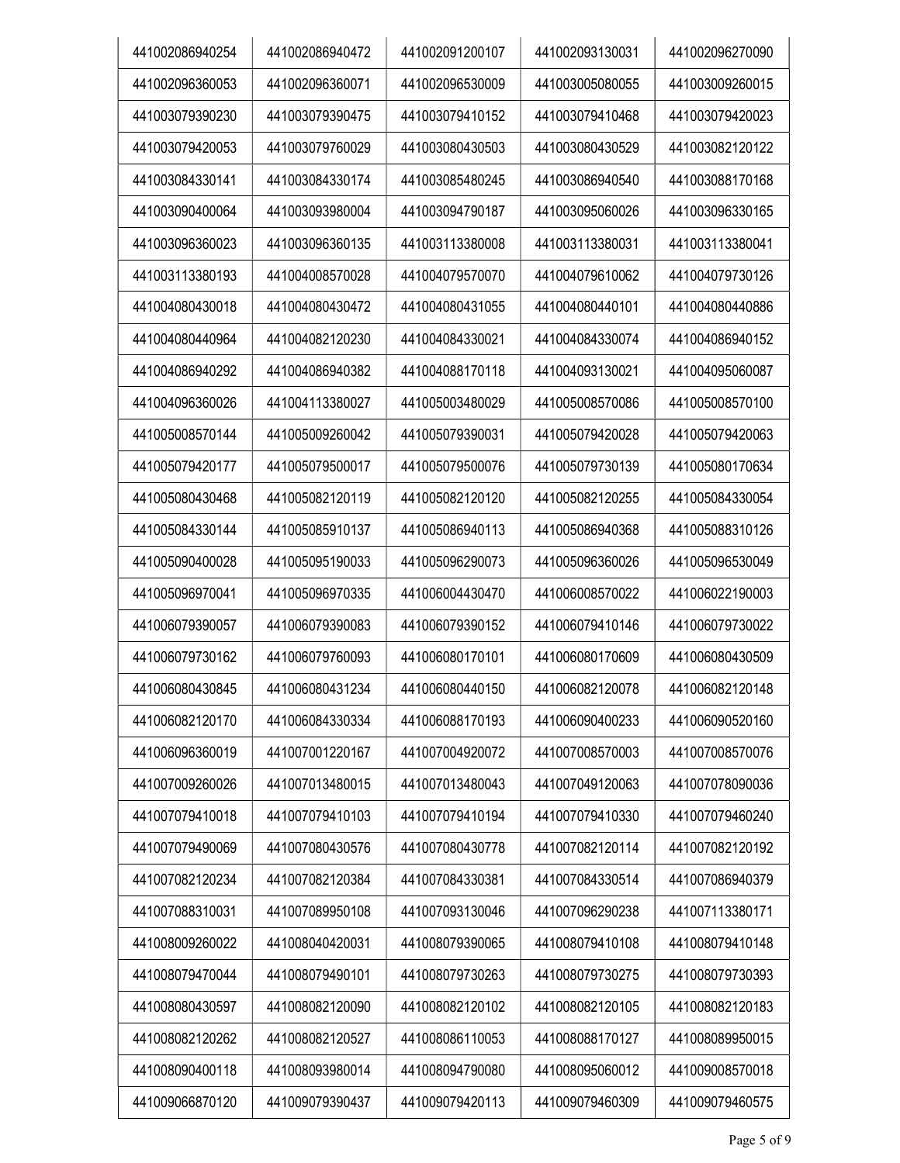| 441002086940254 | 441002086940472 | 441002091200107 | 441002093130031 | 441002096270090 |
|-----------------|-----------------|-----------------|-----------------|-----------------|
| 441002096360053 | 441002096360071 | 441002096530009 | 441003005080055 | 441003009260015 |
| 441003079390230 | 441003079390475 | 441003079410152 | 441003079410468 | 441003079420023 |
| 441003079420053 | 441003079760029 | 441003080430503 | 441003080430529 | 441003082120122 |
| 441003084330141 | 441003084330174 | 441003085480245 | 441003086940540 | 441003088170168 |
| 441003090400064 | 441003093980004 | 441003094790187 | 441003095060026 | 441003096330165 |
| 441003096360023 | 441003096360135 | 441003113380008 | 441003113380031 | 441003113380041 |
| 441003113380193 | 441004008570028 | 441004079570070 | 441004079610062 | 441004079730126 |
| 441004080430018 | 441004080430472 | 441004080431055 | 441004080440101 | 441004080440886 |
| 441004080440964 | 441004082120230 | 441004084330021 | 441004084330074 | 441004086940152 |
| 441004086940292 | 441004086940382 | 441004088170118 | 441004093130021 | 441004095060087 |
| 441004096360026 | 441004113380027 | 441005003480029 | 441005008570086 | 441005008570100 |
| 441005008570144 | 441005009260042 | 441005079390031 | 441005079420028 | 441005079420063 |
| 441005079420177 | 441005079500017 | 441005079500076 | 441005079730139 | 441005080170634 |
| 441005080430468 | 441005082120119 | 441005082120120 | 441005082120255 | 441005084330054 |
| 441005084330144 | 441005085910137 | 441005086940113 | 441005086940368 | 441005088310126 |
| 441005090400028 | 441005095190033 | 441005096290073 | 441005096360026 | 441005096530049 |
| 441005096970041 | 441005096970335 | 441006004430470 | 441006008570022 | 441006022190003 |
| 441006079390057 | 441006079390083 | 441006079390152 | 441006079410146 | 441006079730022 |
| 441006079730162 | 441006079760093 | 441006080170101 | 441006080170609 | 441006080430509 |
| 441006080430845 | 441006080431234 | 441006080440150 | 441006082120078 | 441006082120148 |
| 441006082120170 | 441006084330334 | 441006088170193 | 441006090400233 | 441006090520160 |
| 441006096360019 | 441007001220167 | 441007004920072 | 441007008570003 | 441007008570076 |
| 441007009260026 | 441007013480015 | 441007013480043 | 441007049120063 | 441007078090036 |
| 441007079410018 | 441007079410103 | 441007079410194 | 441007079410330 | 441007079460240 |
| 441007079490069 | 441007080430576 | 441007080430778 | 441007082120114 | 441007082120192 |
| 441007082120234 | 441007082120384 | 441007084330381 | 441007084330514 | 441007086940379 |
| 441007088310031 | 441007089950108 | 441007093130046 | 441007096290238 | 441007113380171 |
| 441008009260022 | 441008040420031 | 441008079390065 | 441008079410108 | 441008079410148 |
| 441008079470044 | 441008079490101 | 441008079730263 | 441008079730275 | 441008079730393 |
| 441008080430597 | 441008082120090 | 441008082120102 | 441008082120105 | 441008082120183 |
| 441008082120262 | 441008082120527 | 441008086110053 | 441008088170127 | 441008089950015 |
| 441008090400118 | 441008093980014 | 441008094790080 | 441008095060012 | 441009008570018 |
| 441009066870120 | 441009079390437 | 441009079420113 | 441009079460309 | 441009079460575 |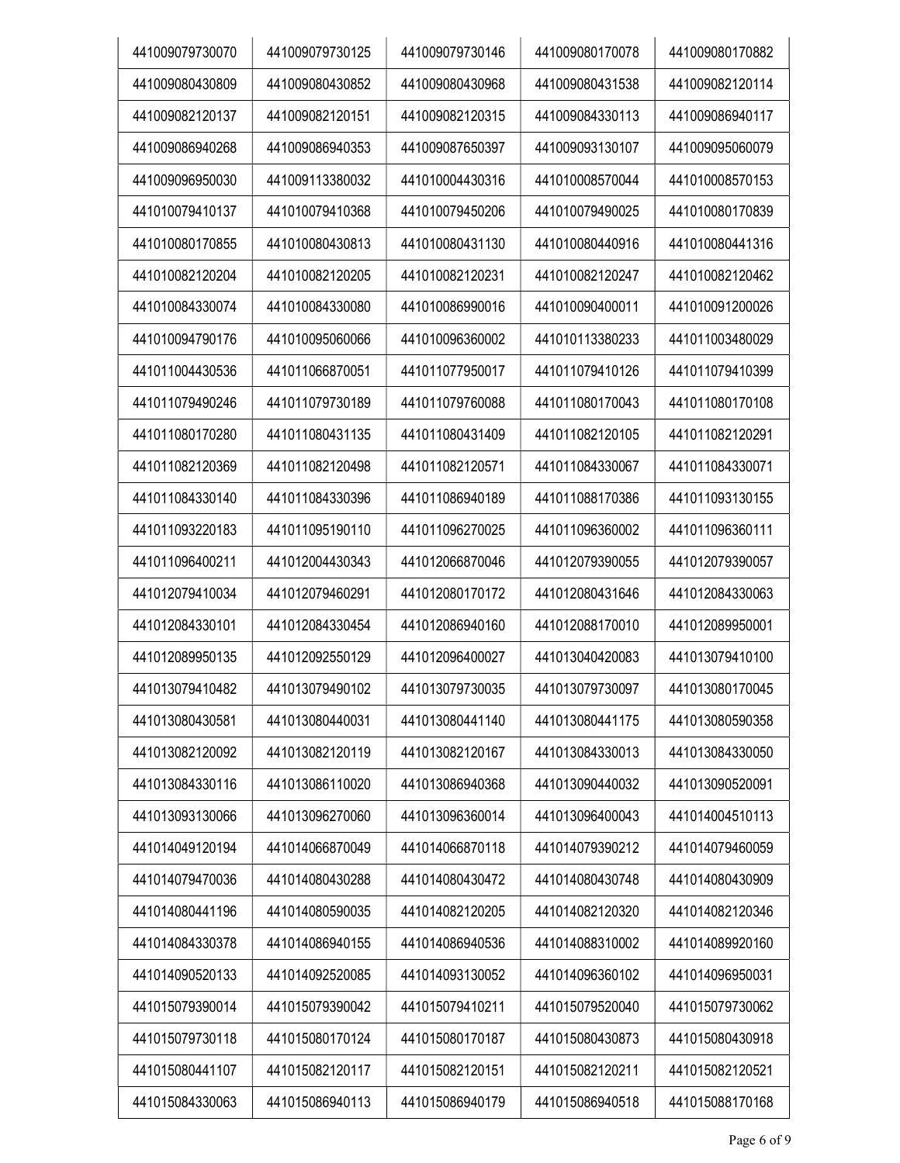| 441009079730070 | 441009079730125 | 441009079730146 | 441009080170078 | 441009080170882 |
|-----------------|-----------------|-----------------|-----------------|-----------------|
| 441009080430809 | 441009080430852 | 441009080430968 | 441009080431538 | 441009082120114 |
| 441009082120137 | 441009082120151 | 441009082120315 | 441009084330113 | 441009086940117 |
| 441009086940268 | 441009086940353 | 441009087650397 | 441009093130107 | 441009095060079 |
| 441009096950030 | 441009113380032 | 441010004430316 | 441010008570044 | 441010008570153 |
| 441010079410137 | 441010079410368 | 441010079450206 | 441010079490025 | 441010080170839 |
| 441010080170855 | 441010080430813 | 441010080431130 | 441010080440916 | 441010080441316 |
| 441010082120204 | 441010082120205 | 441010082120231 | 441010082120247 | 441010082120462 |
| 441010084330074 | 441010084330080 | 441010086990016 | 441010090400011 | 441010091200026 |
| 441010094790176 | 441010095060066 | 441010096360002 | 441010113380233 | 441011003480029 |
| 441011004430536 | 441011066870051 | 441011077950017 | 441011079410126 | 441011079410399 |
| 441011079490246 | 441011079730189 | 441011079760088 | 441011080170043 | 441011080170108 |
| 441011080170280 | 441011080431135 | 441011080431409 | 441011082120105 | 441011082120291 |
| 441011082120369 | 441011082120498 | 441011082120571 | 441011084330067 | 441011084330071 |
| 441011084330140 | 441011084330396 | 441011086940189 | 441011088170386 | 441011093130155 |
| 441011093220183 | 441011095190110 | 441011096270025 | 441011096360002 | 441011096360111 |
| 441011096400211 | 441012004430343 | 441012066870046 | 441012079390055 | 441012079390057 |
| 441012079410034 | 441012079460291 | 441012080170172 | 441012080431646 | 441012084330063 |
| 441012084330101 | 441012084330454 | 441012086940160 | 441012088170010 | 441012089950001 |
| 441012089950135 | 441012092550129 | 441012096400027 | 441013040420083 | 441013079410100 |
| 441013079410482 | 441013079490102 | 441013079730035 | 441013079730097 | 441013080170045 |
| 441013080430581 | 441013080440031 | 441013080441140 | 441013080441175 | 441013080590358 |
| 441013082120092 | 441013082120119 | 441013082120167 | 441013084330013 | 441013084330050 |
| 441013084330116 | 441013086110020 | 441013086940368 | 441013090440032 | 441013090520091 |
| 441013093130066 | 441013096270060 | 441013096360014 | 441013096400043 | 441014004510113 |
| 441014049120194 | 441014066870049 | 441014066870118 | 441014079390212 | 441014079460059 |
| 441014079470036 | 441014080430288 | 441014080430472 | 441014080430748 | 441014080430909 |
| 441014080441196 | 441014080590035 | 441014082120205 | 441014082120320 | 441014082120346 |
| 441014084330378 | 441014086940155 | 441014086940536 | 441014088310002 | 441014089920160 |
| 441014090520133 | 441014092520085 | 441014093130052 | 441014096360102 | 441014096950031 |
| 441015079390014 | 441015079390042 | 441015079410211 | 441015079520040 | 441015079730062 |
| 441015079730118 | 441015080170124 | 441015080170187 | 441015080430873 | 441015080430918 |
| 441015080441107 | 441015082120117 | 441015082120151 | 441015082120211 | 441015082120521 |
| 441015084330063 | 441015086940113 | 441015086940179 | 441015086940518 | 441015088170168 |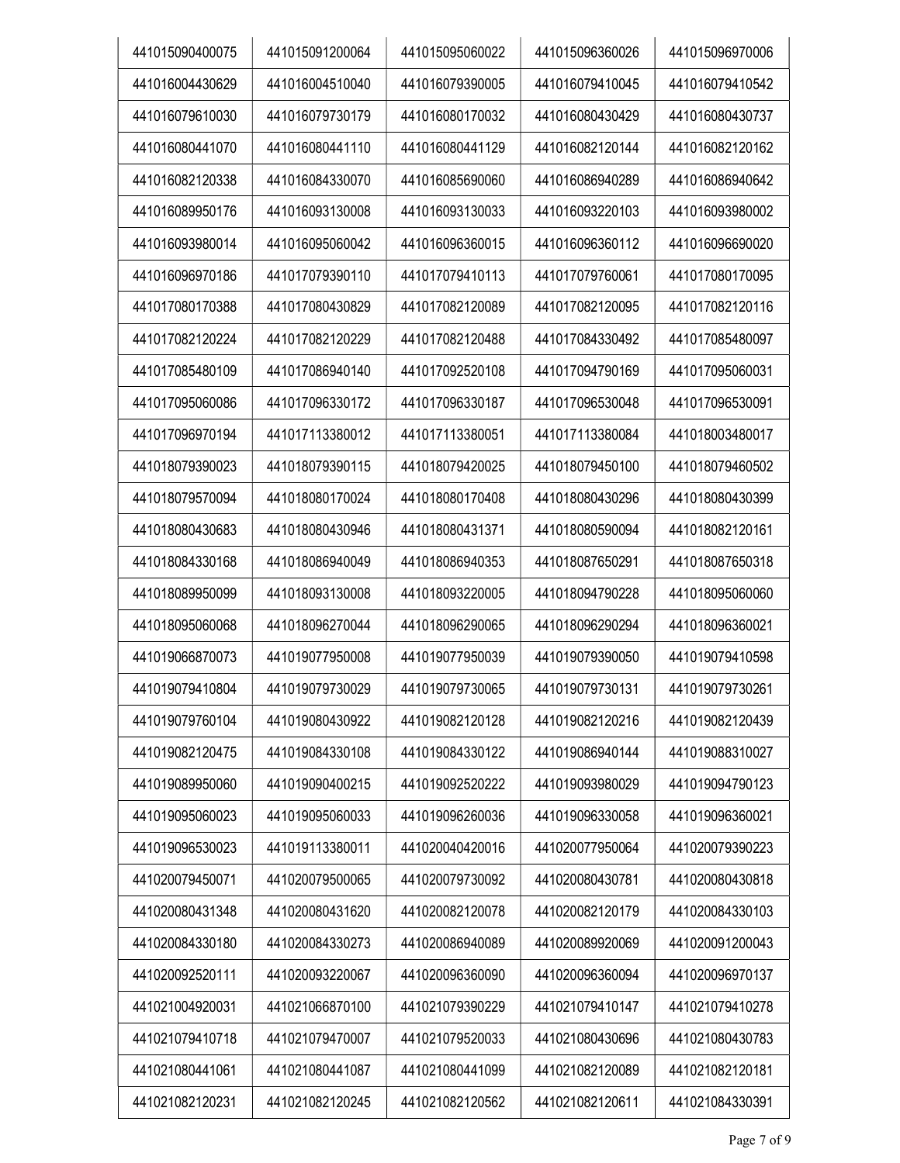| 441015090400075 | 441015091200064 | 441015095060022 | 441015096360026 | 441015096970006 |
|-----------------|-----------------|-----------------|-----------------|-----------------|
| 441016004430629 | 441016004510040 | 441016079390005 | 441016079410045 | 441016079410542 |
| 441016079610030 | 441016079730179 | 441016080170032 | 441016080430429 | 441016080430737 |
| 441016080441070 | 441016080441110 | 441016080441129 | 441016082120144 | 441016082120162 |
| 441016082120338 | 441016084330070 | 441016085690060 | 441016086940289 | 441016086940642 |
| 441016089950176 | 441016093130008 | 441016093130033 | 441016093220103 | 441016093980002 |
| 441016093980014 | 441016095060042 | 441016096360015 | 441016096360112 | 441016096690020 |
| 441016096970186 | 441017079390110 | 441017079410113 | 441017079760061 | 441017080170095 |
| 441017080170388 | 441017080430829 | 441017082120089 | 441017082120095 | 441017082120116 |
| 441017082120224 | 441017082120229 | 441017082120488 | 441017084330492 | 441017085480097 |
| 441017085480109 | 441017086940140 | 441017092520108 | 441017094790169 | 441017095060031 |
| 441017095060086 | 441017096330172 | 441017096330187 | 441017096530048 | 441017096530091 |
| 441017096970194 | 441017113380012 | 441017113380051 | 441017113380084 | 441018003480017 |
| 441018079390023 | 441018079390115 | 441018079420025 | 441018079450100 | 441018079460502 |
| 441018079570094 | 441018080170024 | 441018080170408 | 441018080430296 | 441018080430399 |
| 441018080430683 | 441018080430946 | 441018080431371 | 441018080590094 | 441018082120161 |
| 441018084330168 | 441018086940049 | 441018086940353 | 441018087650291 | 441018087650318 |
| 441018089950099 | 441018093130008 | 441018093220005 | 441018094790228 | 441018095060060 |
| 441018095060068 | 441018096270044 | 441018096290065 | 441018096290294 | 441018096360021 |
| 441019066870073 | 441019077950008 | 441019077950039 | 441019079390050 | 441019079410598 |
| 441019079410804 | 441019079730029 | 441019079730065 | 441019079730131 | 441019079730261 |
| 441019079760104 | 441019080430922 | 441019082120128 | 441019082120216 | 441019082120439 |
| 441019082120475 | 441019084330108 | 441019084330122 | 441019086940144 | 441019088310027 |
| 441019089950060 | 441019090400215 | 441019092520222 | 441019093980029 | 441019094790123 |
| 441019095060023 | 441019095060033 | 441019096260036 | 441019096330058 | 441019096360021 |
| 441019096530023 | 441019113380011 | 441020040420016 | 441020077950064 | 441020079390223 |
| 441020079450071 | 441020079500065 | 441020079730092 | 441020080430781 | 441020080430818 |
| 441020080431348 | 441020080431620 | 441020082120078 | 441020082120179 | 441020084330103 |
| 441020084330180 | 441020084330273 | 441020086940089 | 441020089920069 | 441020091200043 |
| 441020092520111 | 441020093220067 | 441020096360090 | 441020096360094 | 441020096970137 |
| 441021004920031 | 441021066870100 | 441021079390229 | 441021079410147 | 441021079410278 |
| 441021079410718 | 441021079470007 | 441021079520033 | 441021080430696 | 441021080430783 |
| 441021080441061 | 441021080441087 | 441021080441099 | 441021082120089 | 441021082120181 |
| 441021082120231 | 441021082120245 | 441021082120562 | 441021082120611 | 441021084330391 |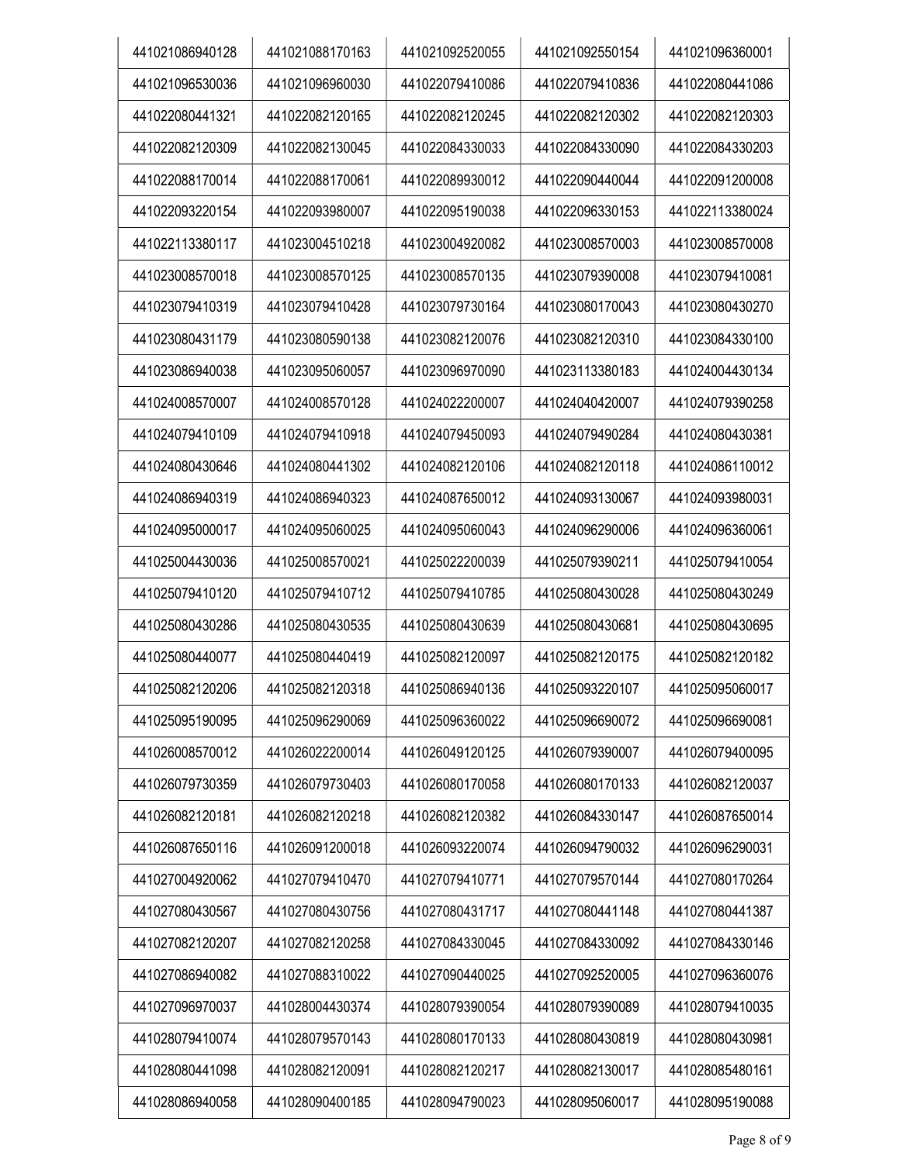| 441021086940128 | 441021088170163 | 441021092520055 | 441021092550154 | 441021096360001 |
|-----------------|-----------------|-----------------|-----------------|-----------------|
| 441021096530036 | 441021096960030 | 441022079410086 | 441022079410836 | 441022080441086 |
| 441022080441321 | 441022082120165 | 441022082120245 | 441022082120302 | 441022082120303 |
| 441022082120309 | 441022082130045 | 441022084330033 | 441022084330090 | 441022084330203 |
| 441022088170014 | 441022088170061 | 441022089930012 | 441022090440044 | 441022091200008 |
| 441022093220154 | 441022093980007 | 441022095190038 | 441022096330153 | 441022113380024 |
| 441022113380117 | 441023004510218 | 441023004920082 | 441023008570003 | 441023008570008 |
| 441023008570018 | 441023008570125 | 441023008570135 | 441023079390008 | 441023079410081 |
| 441023079410319 | 441023079410428 | 441023079730164 | 441023080170043 | 441023080430270 |
| 441023080431179 | 441023080590138 | 441023082120076 | 441023082120310 | 441023084330100 |
| 441023086940038 | 441023095060057 | 441023096970090 | 441023113380183 | 441024004430134 |
| 441024008570007 | 441024008570128 | 441024022200007 | 441024040420007 | 441024079390258 |
| 441024079410109 | 441024079410918 | 441024079450093 | 441024079490284 | 441024080430381 |
| 441024080430646 | 441024080441302 | 441024082120106 | 441024082120118 | 441024086110012 |
| 441024086940319 | 441024086940323 | 441024087650012 | 441024093130067 | 441024093980031 |
| 441024095000017 | 441024095060025 | 441024095060043 | 441024096290006 | 441024096360061 |
| 441025004430036 | 441025008570021 | 441025022200039 | 441025079390211 | 441025079410054 |
| 441025079410120 | 441025079410712 | 441025079410785 | 441025080430028 | 441025080430249 |
| 441025080430286 | 441025080430535 | 441025080430639 | 441025080430681 | 441025080430695 |
| 441025080440077 | 441025080440419 | 441025082120097 | 441025082120175 | 441025082120182 |
| 441025082120206 | 441025082120318 | 441025086940136 | 441025093220107 | 441025095060017 |
| 441025095190095 | 441025096290069 | 441025096360022 | 441025096690072 | 441025096690081 |
| 441026008570012 | 441026022200014 | 441026049120125 | 441026079390007 | 441026079400095 |
| 441026079730359 | 441026079730403 | 441026080170058 | 441026080170133 | 441026082120037 |
| 441026082120181 | 441026082120218 | 441026082120382 | 441026084330147 | 441026087650014 |
| 441026087650116 | 441026091200018 | 441026093220074 | 441026094790032 | 441026096290031 |
| 441027004920062 | 441027079410470 | 441027079410771 | 441027079570144 | 441027080170264 |
| 441027080430567 | 441027080430756 | 441027080431717 | 441027080441148 | 441027080441387 |
| 441027082120207 | 441027082120258 | 441027084330045 | 441027084330092 | 441027084330146 |
| 441027086940082 | 441027088310022 | 441027090440025 | 441027092520005 | 441027096360076 |
| 441027096970037 | 441028004430374 | 441028079390054 | 441028079390089 | 441028079410035 |
| 441028079410074 | 441028079570143 | 441028080170133 | 441028080430819 | 441028080430981 |
| 441028080441098 | 441028082120091 | 441028082120217 | 441028082130017 | 441028085480161 |
| 441028086940058 | 441028090400185 | 441028094790023 | 441028095060017 | 441028095190088 |